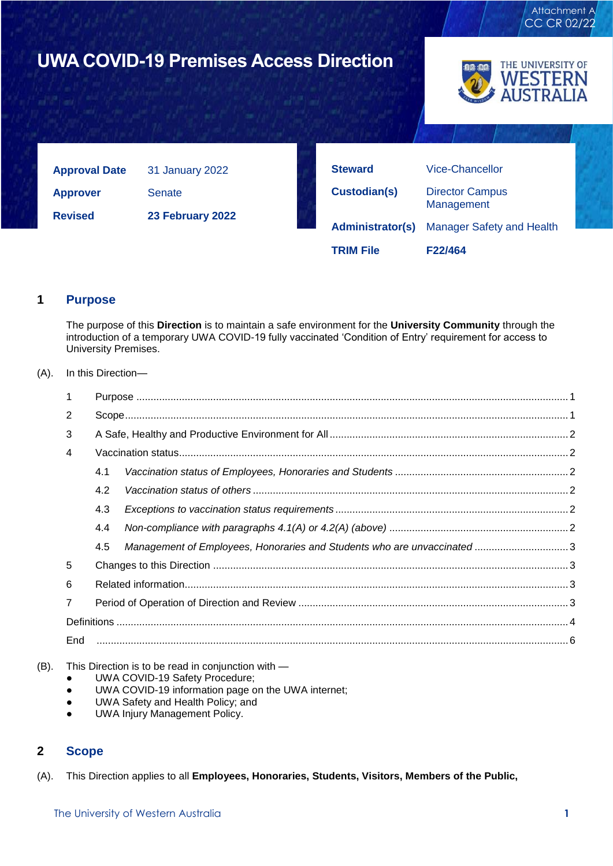

## <span id="page-0-0"></span>**1 Purpose**

The purpose of this **Direction** is to maintain a safe environment for the **University Community** through the introduction of a temporary UWA COVID-19 fully vaccinated 'Condition of Entry' requirement for access to University Premises.

### (A). In this Direction—

| 2                                                                             |  |  |  |
|-------------------------------------------------------------------------------|--|--|--|
|                                                                               |  |  |  |
| 3                                                                             |  |  |  |
| 4                                                                             |  |  |  |
| 4.1                                                                           |  |  |  |
| 4.2                                                                           |  |  |  |
| 4.3                                                                           |  |  |  |
| 4.4                                                                           |  |  |  |
| Management of Employees, Honoraries and Students who are unvaccinated3<br>4.5 |  |  |  |
| 5                                                                             |  |  |  |
|                                                                               |  |  |  |
|                                                                               |  |  |  |
|                                                                               |  |  |  |
| End                                                                           |  |  |  |

(B). This Direction is to be read in conjunction with —

- UWA COVID-19 Safety Procedure;
- UWA COVID-19 information page on the UWA internet;
- UWA Safety and Health Policy; and
- UWA Injury Management Policy.

# <span id="page-0-1"></span>**2 Scope**

(A). This Direction applies to all **Employees, Honoraries, Students, Visitors, Members of the Public,**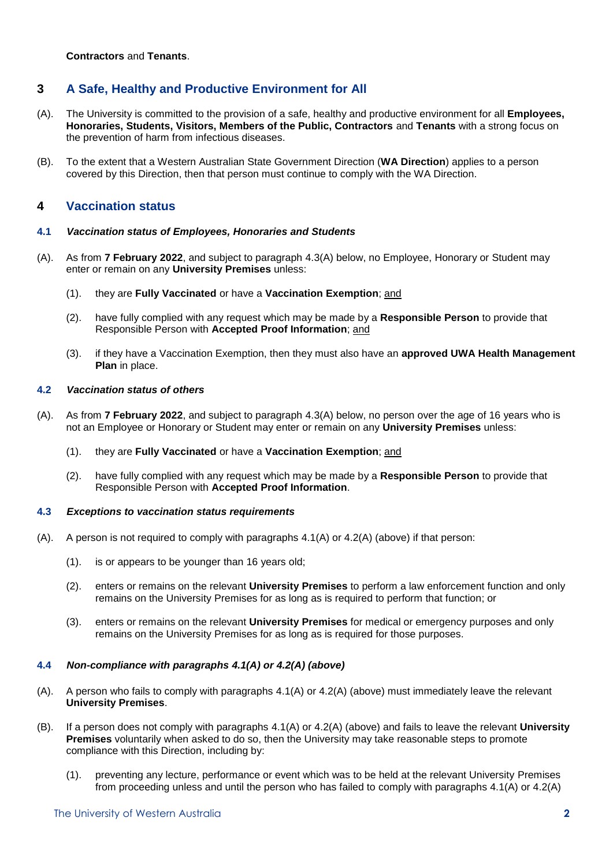**Contractors** and **Tenants**.

# <span id="page-1-0"></span>**3 A Safe, Healthy and Productive Environment for All**

- (A). The University is committed to the provision of a safe, healthy and productive environment for all **Employees, Honoraries, Students, Visitors, Members of the Public, Contractors** and **Tenants** with a strong focus on the prevention of harm from infectious diseases.
- (B). To the extent that a Western Australian State Government Direction (**WA Direction**) applies to a person covered by this Direction, then that person must continue to comply with the WA Direction.

## <span id="page-1-1"></span>**4 Vaccination status**

### <span id="page-1-2"></span>**4.1** *Vaccination status of Employees, Honoraries and Students*

- <span id="page-1-7"></span>(A). As from **7 February 2022**, and subject to paragraph [4.3\(A\)](#page-1-6) below, no Employee, Honorary or Student may enter or remain on any **University Premises** unless:
	- (1). they are **Fully Vaccinated** or have a **Vaccination Exemption**; and
	- (2). have fully complied with any request which may be made by a **Responsible Person** to provide that Responsible Person with **Accepted Proof Information**; and
	- (3). if they have a Vaccination Exemption, then they must also have an **approved UWA Health Management Plan** in place.

### <span id="page-1-3"></span>**4.2** *Vaccination status of others*

- <span id="page-1-8"></span>(A). As from **7 February 2022**, and subject to paragraph [4.3\(A\)](#page-1-6) below, no person over the age of 16 years who is not an Employee or Honorary or Student may enter or remain on any **University Premises** unless:
	- (1). they are **Fully Vaccinated** or have a **Vaccination Exemption**; and
	- (2). have fully complied with any request which may be made by a **Responsible Person** to provide that Responsible Person with **Accepted Proof Information**.

#### <span id="page-1-4"></span>**4.3** *Exceptions to vaccination status requirements*

- <span id="page-1-6"></span> $(A)$ . A person is not required to comply with paragraphs  $4.1(A)$  or  $4.2(A)$  (above) if that person:
	- (1). is or appears to be younger than 16 years old;
	- (2). enters or remains on the relevant **University Premises** to perform a law enforcement function and only remains on the University Premises for as long as is required to perform that function; or
	- (3). enters or remains on the relevant **University Premises** for medical or emergency purposes and only remains on the University Premises for as long as is required for those purposes.

### <span id="page-1-5"></span>**4.4** *Non-compliance with paragraphs [4.1\(A\)](#page-1-7) or [4.2\(A\)](#page-1-8) (above)*

- (A). A person who fails to comply with paragraphs [4.1\(A\)](#page-1-7) or [4.2\(A\)](#page-1-8) (above) must immediately leave the relevant **University Premises**.
- (B). If a person does not comply with paragraphs [4.1\(A\)](#page-1-7) or [4.2\(A\)](#page-1-8) (above) and fails to leave the relevant **University Premises** voluntarily when asked to do so, then the University may take reasonable steps to promote compliance with this Direction, including by:
	- (1). preventing any lecture, performance or event which was to be held at the relevant University Premises from proceeding unless and until the person who has failed to comply with paragraphs [4.1\(A\)](#page-1-7) or [4.2\(A\)](#page-1-8)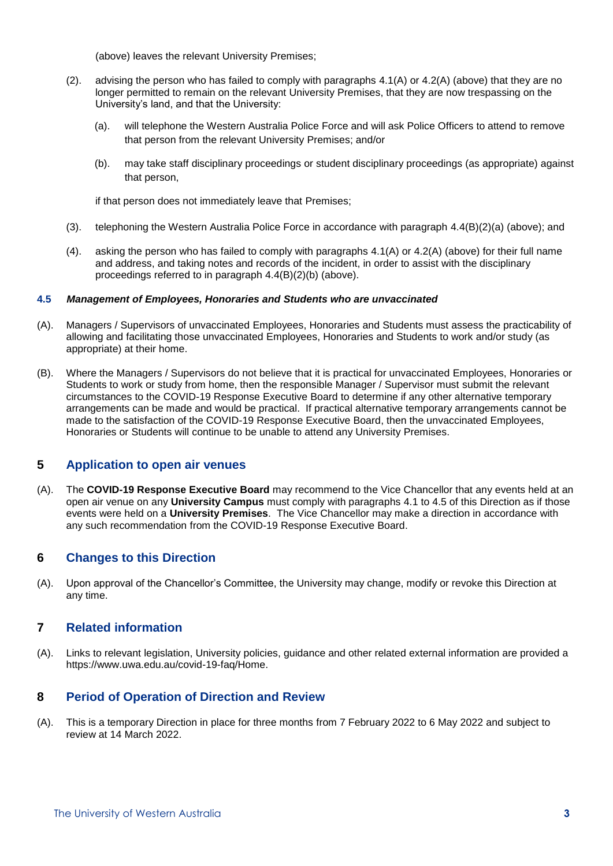(above) leaves the relevant University Premises;

- <span id="page-2-4"></span>(2). advising the person who has failed to comply with paragraphs  $4.1(A)$  or  $4.2(A)$  (above) that they are no longer permitted to remain on the relevant University Premises, that they are now trespassing on the University's land, and that the University:
	- (a). will telephone the Western Australia Police Force and will ask Police Officers to attend to remove that person from the relevant University Premises; and/or
	- (b). may take staff disciplinary proceedings or student disciplinary proceedings (as appropriate) against that person,

<span id="page-2-5"></span>if that person does not immediately leave that Premises;

- (3). telephoning the Western Australia Police Force in accordance with paragraph [4.4\(B\)\(2\)\(a\)](#page-2-4) (above); and
- (4). asking the person who has failed to comply with paragraphs [4.1\(A\)](#page-1-7) or [4.2\(A\)](#page-1-8) (above) for their full name and address, and taking notes and records of the incident, in order to assist with the disciplinary proceedings referred to in paragraph [4.4\(B\)\(2\)\(b\)](#page-2-5) (above).

### <span id="page-2-0"></span>**4.5** *Management of Employees, Honoraries and Students who are unvaccinated*

- (A). Managers / Supervisors of unvaccinated Employees, Honoraries and Students must assess the practicability of allowing and facilitating those unvaccinated Employees, Honoraries and Students to work and/or study (as appropriate) at their home.
- (B). Where the Managers / Supervisors do not believe that it is practical for unvaccinated Employees, Honoraries or Students to work or study from home, then the responsible Manager / Supervisor must submit the relevant circumstances to the COVID-19 Response Executive Board to determine if any other alternative temporary arrangements can be made and would be practical. If practical alternative temporary arrangements cannot be made to the satisfaction of the COVID-19 Response Executive Board, then the unvaccinated Employees, Honoraries or Students will continue to be unable to attend any University Premises.

### <span id="page-2-1"></span>**5 Application to open air venues**

<span id="page-2-6"></span>(A). The **COVID-19 Response Executive Board** may recommend to the Vice Chancellor that any events held at an open air venue on any **University Campus** must comply with paragraphs [4.1](#page-1-2) to [4.5](#page-2-0) of this Direction as if those events were held on a **University Premises**. The Vice Chancellor may make a direction in accordance with any such recommendation from the COVID-19 Response Executive Board.

### **6 Changes to this Direction**

(A). Upon approval of the Chancellor's Committee, the University may change, modify or revoke this Direction at any time.

### <span id="page-2-2"></span>**7 Related information**

(A). Links to relevant legislation, University policies, guidance and other related external information are provided a [https://www.uwa.edu.au/covid-19-faq/Home.](https://www.uwa.edu.au/covid-19-faq/Home)

# <span id="page-2-3"></span>**8 Period of Operation of Direction and Review**

(A). This is a temporary Direction in place for three months from 7 February 2022 to 6 May 2022 and subject to review at 14 March 2022.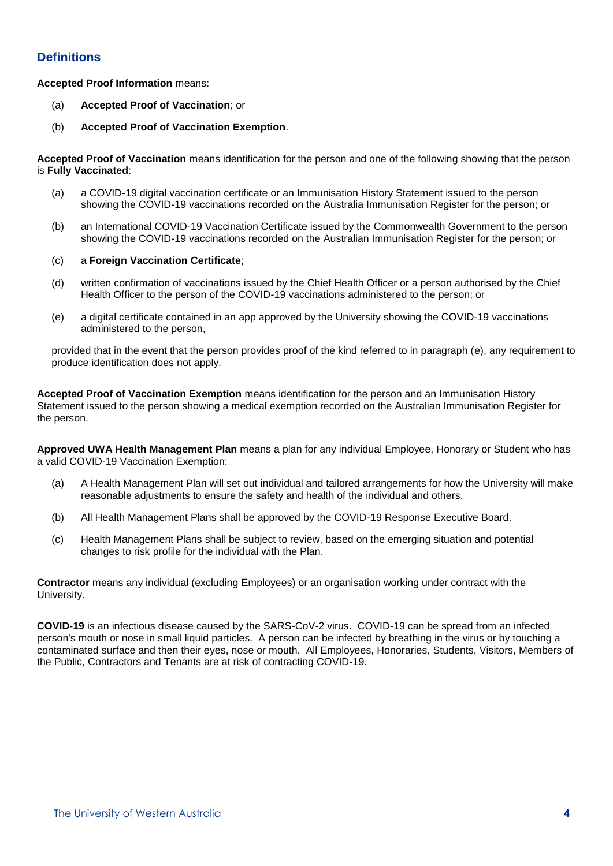# <span id="page-3-0"></span>**Definitions**

### **Accepted Proof Information** means:

- (a) **Accepted Proof of Vaccination**; or
- (b) **Accepted Proof of Vaccination Exemption**.

**Accepted Proof of Vaccination** means identification for the person and one of the following showing that the person is **Fully Vaccinated**:

- (a) a COVID-19 digital vaccination certificate or an Immunisation History Statement issued to the person showing the COVID-19 vaccinations recorded on the Australia Immunisation Register for the person; or
- (b) an International COVID-19 Vaccination Certificate issued by the Commonwealth Government to the person showing the COVID-19 vaccinations recorded on the Australian Immunisation Register for the person; or
- (c) a **Foreign Vaccination Certificate**;
- (d) written confirmation of vaccinations issued by the Chief Health Officer or a person authorised by the Chief Health Officer to the person of the COVID-19 vaccinations administered to the person; or
- (e) a digital certificate contained in an app approved by the University showing the COVID-19 vaccinations administered to the person,

provided that in the event that the person provides proof of the kind referred to in paragraph (e), any requirement to produce identification does not apply.

**Accepted Proof of Vaccination Exemption** means identification for the person and an Immunisation History Statement issued to the person showing a medical exemption recorded on the Australian Immunisation Register for the person.

**Approved UWA Health Management Plan** means a plan for any individual Employee, Honorary or Student who has a valid COVID-19 Vaccination Exemption:

- (a) A Health Management Plan will set out individual and tailored arrangements for how the University will make reasonable adjustments to ensure the safety and health of the individual and others.
- (b) All Health Management Plans shall be approved by the COVID-19 Response Executive Board.
- (c) Health Management Plans shall be subject to review, based on the emerging situation and potential changes to risk profile for the individual with the Plan.

**Contractor** means any individual (excluding Employees) or an organisation working under contract with the University.

**COVID-19** is an infectious disease caused by the SARS-CoV-2 virus. COVID-19 can be spread from an infected person's mouth or nose in small liquid particles. A person can be infected by breathing in the virus or by touching a contaminated surface and then their eyes, nose or mouth. All Employees, Honoraries, Students, Visitors, Members of the Public, Contractors and Tenants are at risk of contracting COVID-19.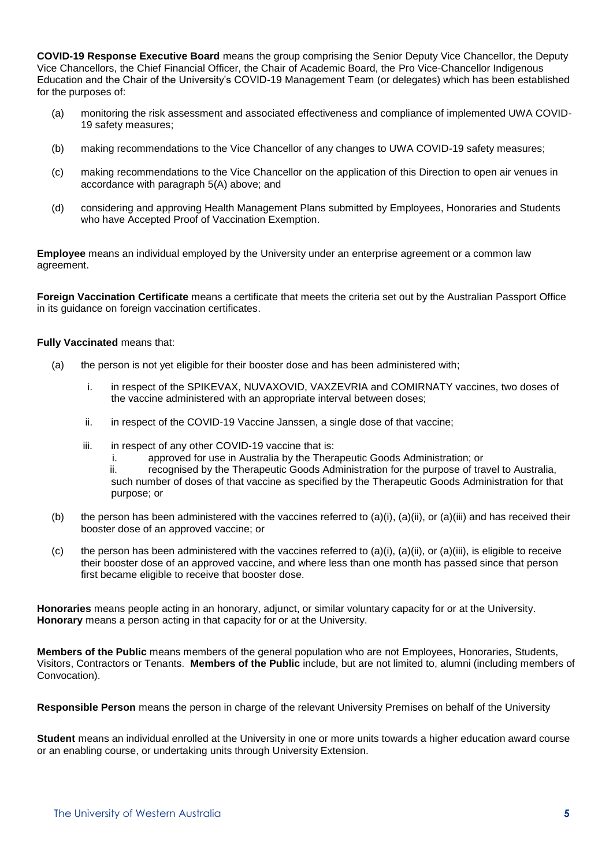**COVID-19 Response Executive Board** means the group comprising the Senior Deputy Vice Chancellor, the Deputy Vice Chancellors, the Chief Financial Officer, the Chair of Academic Board, the Pro Vice-Chancellor Indigenous Education and the Chair of the University's COVID-19 Management Team (or delegates) which has been established for the purposes of:

- (a) monitoring the risk assessment and associated effectiveness and compliance of implemented UWA COVID-19 safety measures;
- (b) making recommendations to the Vice Chancellor of any changes to UWA COVID-19 safety measures;
- (c) making recommendations to the Vice Chancellor on the application of this Direction to open air venues in accordance with paragraph [5\(A\)](#page-2-6) above; and
- (d) considering and approving Health Management Plans submitted by Employees, Honoraries and Students who have Accepted Proof of Vaccination Exemption.

**Employee** means an individual employed by the University under an enterprise agreement or a common law agreement.

**Foreign Vaccination Certificate** means a certificate that meets the criteria set out by the Australian Passport Office in its guidance on foreign vaccination certificates.

#### **Fully Vaccinated** means that:

- (a) the person is not yet eligible for their booster dose and has been administered with;
	- i. in respect of the SPIKEVAX, NUVAXOVID, VAXZEVRIA and COMIRNATY vaccines, two doses of the vaccine administered with an appropriate interval between doses;
	- ii. in respect of the COVID-19 Vaccine Janssen, a single dose of that vaccine;
	- iii. in respect of any other COVID-19 vaccine that is:
		- i. approved for use in Australia by the Therapeutic Goods Administration; or
		- ii. recognised by the Therapeutic Goods Administration for the purpose of travel to Australia, such number of doses of that vaccine as specified by the Therapeutic Goods Administration for that purpose; or
- (b) the person has been administered with the vaccines referred to (a)(i), (a)(ii), or (a)(iii) and has received their booster dose of an approved vaccine; or
- (c) the person has been administered with the vaccines referred to (a)(i), (a)(ii), or (a)(iii), is eligible to receive their booster dose of an approved vaccine, and where less than one month has passed since that person first became eligible to receive that booster dose.

**Honoraries** means people acting in an honorary, adjunct, or similar voluntary capacity for or at the University. **Honorary** means a person acting in that capacity for or at the University.

**Members of the Public** means members of the general population who are not Employees, Honoraries, Students, Visitors, Contractors or Tenants. **Members of the Public** include, but are not limited to, alumni (including members of Convocation).

**Responsible Person** means the person in charge of the relevant University Premises on behalf of the University

**Student** means an individual enrolled at the University in one or more units towards a higher education award course or an enabling course, or undertaking units through University Extension.